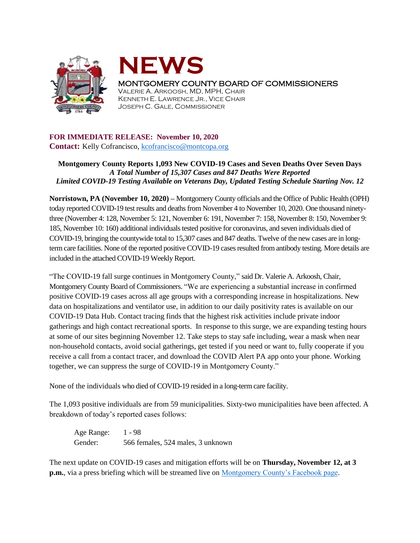



MONTGOMERY COUNTY BOARD OF COMMISSIONERS

VALERIE A. ARKOOSH, MD, MPH, CHAIR KENNETH E. LAWRENCE JR., VICE CHAIR JOSEPH C. GALE, COMMISSIONER

## **FOR IMMEDIATE RELEASE: November 10, 2020**

**Contact:** Kelly Cofrancisco, [kcofrancisco@montcopa.org](mailto:kcofrancisco@montcopa.org)

## **Montgomery County Reports 1,093 New COVID-19 Cases and Seven Deaths Over Seven Days**  *A Total Number of 15,307 Cases and 847 Deaths Were Reported Limited COVID-19 Testing Available on Veterans Day, Updated Testing Schedule Starting Nov. 12*

**Norristown, PA (November 10, 2020) –** Montgomery County officials and the Office of Public Health (OPH) today reported COVID-19 test results and deaths from November 4 to November 10, 2020. One thousand ninetythree (November 4: 128, November 5: 121, November 6: 191, November 7: 158, November 8: 150, November 9: 185, November 10: 160) additional individuals tested positive for coronavirus, and seven individuals died of COVID-19, bringing the countywide total to 15,307 cases and 847 deaths. Twelve of the new cases are in longterm care facilities. None of the reported positive COVID-19 cases resulted from antibody testing. More details are included in the attached COVID-19 Weekly Report.

"The COVID-19 fall surge continues in Montgomery County," said Dr. Valerie A. Arkoosh, Chair, Montgomery County Board of Commissioners. "We are experiencing a substantial increase in confirmed positive COVID-19 cases across all age groups with a corresponding increase in hospitalizations. New data on hospitalizations and ventilator use, in addition to our daily positivity rates is available on our COVID-19 Data Hub. Contact tracing finds that the highest risk activities include private indoor gatherings and high contact recreational sports. In response to this surge, we are expanding testing hours at some of our sites beginning November 12. Take steps to stay safe including, wear a mask when near non-household contacts, avoid social gatherings, get tested if you need or want to, fully cooperate if you receive a call from a contact tracer, and download the COVID Alert PA app onto your phone. Working together, we can suppress the surge of COVID-19 in Montgomery County."

None of the individuals who died of COVID-19 resided in a long-term care facility.

The 1,093 positive individuals are from 59 municipalities. Sixty-two municipalities have been affected. A breakdown of today's reported cases follows:

Age Range: 1 - 98 Gender: 566 females, 524 males, 3 unknown

The next update on COVID-19 cases and mitigation efforts will be on **Thursday, November 12, at 3 p.m.**, via a press briefing which will be streamed live on [Montgomery County's Facebook page.](https://www.facebook.com/montgomery.county.pa/)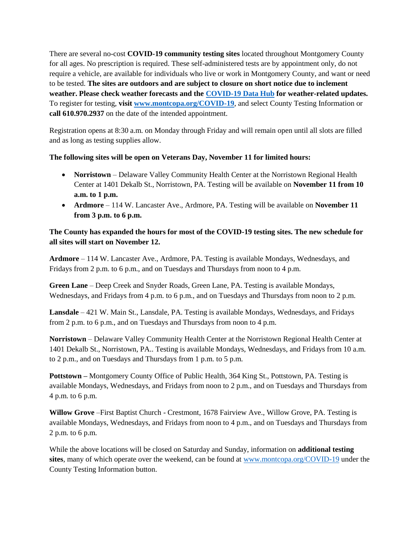There are several no-cost **COVID-19 community testing sites** located throughout Montgomery County for all ages. No prescription is required. These self-administered tests are by appointment only, do not require a vehicle, are available for individuals who live or work in Montgomery County, and want or need to be tested. **The sites are outdoors and are subject to closure on short notice due to inclement weather. Please check weather forecasts and the [COVID-19 Data Hub](https://data-montcopa.opendata.arcgis.com/pages/covid-19) for weather-related updates.** To register for testing, **visit [www.montcopa.org/COVID-19](http://www.montcopa.org/COVID-19)**, and select County Testing Information or **call 610.970.2937** on the date of the intended appointment.

Registration opens at 8:30 a.m. on Monday through Friday and will remain open until all slots are filled and as long as testing supplies allow.

## **The following sites will be open on Veterans Day, November 11 for limited hours:**

- **Norristown**  Delaware Valley Community Health Center at the Norristown Regional Health Center at 1401 Dekalb St., Norristown, PA. Testing will be available on **November 11 from 10 a.m. to 1 p.m.**
- **Ardmore** 114 W. Lancaster Ave., Ardmore, PA. Testing will be available on **November 11 from 3 p.m. to 6 p.m.**

## **The County has expanded the hours for most of the COVID-19 testing sites. The new schedule for all sites will start on November 12.**

**Ardmore** – 114 W. Lancaster Ave., Ardmore, PA. Testing is available Mondays, Wednesdays, and Fridays from 2 p.m. to 6 p.m., and on Tuesdays and Thursdays from noon to 4 p.m.

**Green Lane** – Deep Creek and Snyder Roads, Green Lane, PA. Testing is available Mondays, Wednesdays, and Fridays from 4 p.m. to 6 p.m., and on Tuesdays and Thursdays from noon to 2 p.m.

**Lansdale** – 421 W. Main St., Lansdale, PA. Testing is available Mondays, Wednesdays, and Fridays from 2 p.m. to 6 p.m., and on Tuesdays and Thursdays from noon to 4 p.m.

**Norristown** – Delaware Valley Community Health Center at the Norristown Regional Health Center at 1401 Dekalb St., Norristown, PA.. Testing is available Mondays, Wednesdays, and Fridays from 10 a.m. to 2 p.m., and on Tuesdays and Thursdays from 1 p.m. to 5 p.m.

**Pottstown –** Montgomery County Office of Public Health, 364 King St., Pottstown, PA. Testing is available Mondays, Wednesdays, and Fridays from noon to 2 p.m., and on Tuesdays and Thursdays from 4 p.m. to 6 p.m.

**Willow Grove** –First Baptist Church - Crestmont, 1678 Fairview Ave., Willow Grove, PA. Testing is available Mondays, Wednesdays, and Fridays from noon to 4 p.m., and on Tuesdays and Thursdays from 2 p.m. to 6 p.m.

While the above locations will be closed on Saturday and Sunday, information on **additional testing sites**, many of which operate over the weekend, can be found at [www.montcopa.org/COVID-19](http://www.montcopa.org/COVID-19) under the County Testing Information button.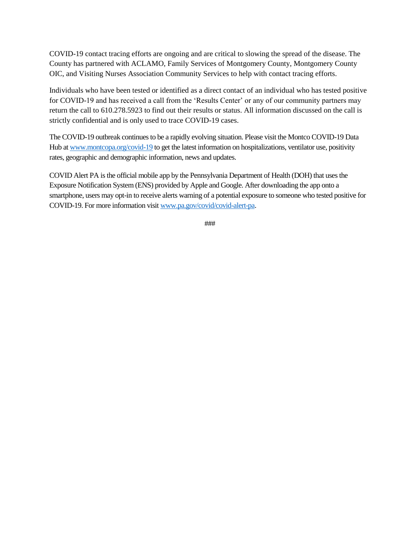COVID-19 contact tracing efforts are ongoing and are critical to slowing the spread of the disease. The County has partnered with ACLAMO, Family Services of Montgomery County, Montgomery County OIC, and Visiting Nurses Association Community Services to help with contact tracing efforts.

Individuals who have been tested or identified as a direct contact of an individual who has tested positive for COVID-19 and has received a call from the 'Results Center' or any of our community partners may return the call to 610.278.5923 to find out their results or status. All information discussed on the call is strictly confidential and is only used to trace COVID-19 cases.

The COVID-19 outbreak continues to be a rapidly evolving situation. Please visit the Montco COVID-19 Data Hub at [www.montcopa.org/covid-19](http://www.montcopa.org/covid-19) to get the latest information on hospitalizations, ventilator use, positivity rates, geographic and demographic information, news and updates.

COVID Alert PA is the official mobile app by the Pennsylvania Department of Health (DOH) that uses the Exposure Notification System (ENS) provided by Apple and Google. After downloading the app onto a smartphone, users may opt-in to receive alerts warning of a potential exposure to someone who tested positive for COVID-19. For more information visit [www.pa.gov/covid/covid-alert-pa.](http://www.pa.gov/covid/covid-alert-pa) 

###